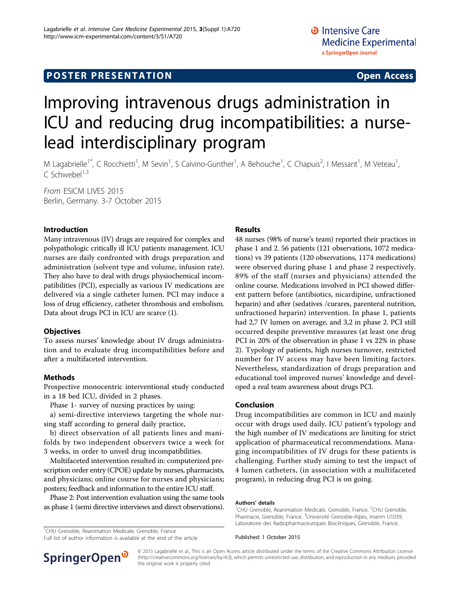# Improving intravenous drugs administration in ICU and reducing drug incompatibilities: a nurselead interdisciplinary program

M Lagabrielle<sup>1\*</sup>, C Rocchietti<sup>1</sup>, M Sevin<sup>1</sup>, S Calvino-Gunther<sup>1</sup>, A Behouche<sup>1</sup>, C Chapuis<sup>2</sup>, I Messant<sup>1</sup>, M Veteau<sup>1</sup> , C Schwebel $^{1,3}$ 

From ESICM LIVES 2015 Berlin, Germany. 3-7 October 2015

#### Introduction

Many intravenous (IV) drugs are required for complex and polypathologic critically ill ICU patients management. ICU nurses are daily confronted with drugs preparation and administration (solvent type and volume, infusion rate). They also have to deal with drugs physiochemical incompatibilities (PCI), especially as various IV medications are delivered via a single catheter lumen. PCI may induce a loss of drug efficiency, catheter thrombosis and embolism. Data about drugs PCI in ICU are scarce (1).

#### **Objectives**

To assess nurses' knowledge about IV drugs administration and to evaluate drug incompatibilities before and after a multifaceted intervention.

### Methods

Prospective monocentric interventional study conducted in a 18 bed ICU, divided in 2 phases.

Phase 1- survey of nursing practices by using:

a) semi-directive interviews targeting the whole nursing staff according to general daily practice,

b) direct observation of all patients lines and manifolds by two independent observers twice a week for 3 weeks, in order to unveil drug incompatibilities.

Multifaceted intervention resulted in: computerized prescription order entry (CPOE) update by nurses, pharmacists, and physicians; online course for nurses and physicians; posters; feedback and information to the entire ICU staff.

Phase 2: Post intervention evaluation using the same tools as phase 1 (semi directive interviews and direct observations).

<sup>1</sup>CHU Grenoble, Reanimation Medicale, Grenoble, France

Full list of author information is available at the end of the article

#### Results

48 nurses (98% of nurse's team) reported their practices in phase 1 and 2. 56 patients (121 observations, 1072 medications) vs 39 patients (120 observations, 1174 medications) were observed during phase 1 and phase 2 respectively. 89% of the staff (nurses and physicians) attended the online course. Medications involved in PCI showed different pattern before (antibiotics, nicardipine, unfractioned heparin) and after (sedatives /curares, parenteral nutrition, unfractioned heparin) intervention. In phase 1, patients had 2,7 IV lumen on average, and 3,2 in phase 2. PCI still occurred despite preventive measures (at least one drug PCI in 20% of the observation in phase 1 vs 22% in phase 2). Typology of patients, high nurses turnover, restricted number for IV access may have been limiting factors. Nevertheless, standardization of drugs preparation and educational tool improved nurses' knowledge and developed a real team awareness about drugs PCI.

#### Conclusion

Drug incompatibilities are common in ICU and mainly occur with drugs used daily. ICU patient's typology and the high number of IV medications are limiting for strict application of pharmaceutical recommendations. Managing incompatibilities of IV drugs for these patients is challenging. Further study aiming to test the impact of 4 lumen catheters, (in association with a multifaceted program), in reducing drug PCI is on going.

#### Authors' details <sup>1</sup>

CHU Grenoble, Reanimation Medicale, Grenoble, France. <sup>2</sup>CHU Grenoble Pharmacie, Grenoble, France. <sup>3</sup>Université Grenoble-Alpes, Inserm U1039 Laboratoire des Radiopharmaceutiques Biocliniques, Grenoble, France.

Published: 1 October 2015



© 2015 Lagabrielle et al.; This is an Open Access article distributed under the terms of the Creative Commons Attribution License [\(http://creativecommons.org/licenses/by/4.0](http://creativecommons.org/licenses/by/4.0)), which permits unrestricted use, distribution, and reproduction in any medium, provided the original work is properly cited.